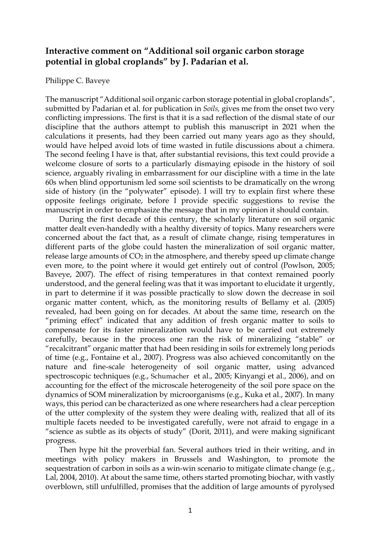## **Interactive comment on "Additional soil organic carbon storage potential in global croplands" by J. Padarian et al.**

## Philippe C. Baveye

The manuscript "Additional soil organic carbon storage potential in global croplands", submitted by Padarian et al. for publication in *Soils,* gives me from the onset two very conflicting impressions. The first is that it is a sad reflection of the dismal state of our discipline that the authors attempt to publish this manuscript in 2021 when the calculations it presents, had they been carried out many years ago as they should, would have helped avoid lots of time wasted in futile discussions about a chimera. The second feeling I have is that, after substantial revisions, this text could provide a welcome closure of sorts to a particularly dismaying episode in the history of soil science, arguably rivaling in embarrassment for our discipline with a time in the late 60s when blind opportunism led some soil scientists to be dramatically on the wrong side of history (in the "polywater" episode). I will try to explain first where these opposite feelings originate, before I provide specific suggestions to revise the manuscript in order to emphasize the message that in my opinion it should contain.

During the first decade of this century, the scholarly literature on soil organic matter dealt even-handedly with a healthy diversity of topics. Many researchers were concerned about the fact that, as a result of climate change, rising temperatures in different parts of the globe could hasten the mineralization of soil organic matter, release large amounts of  $CO<sub>2</sub>$  in the atmosphere, and thereby speed up climate change even more, to the point where it would get entirely out of control (Powlson, 2005; Baveye, 2007). The effect of rising temperatures in that context remained poorly understood, and the general feeling was that it was important to elucidate it urgently, in part to determine if it was possible practically to slow down the decrease in soil organic matter content, which, as the monitoring results of Bellamy et al. (2005) revealed, had been going on for decades. At about the same time, research on the "priming effect" indicated that any addition of fresh organic matter to soils to compensate for its faster mineralization would have to be carried out extremely carefully, because in the process one ran the risk of mineralizing "stable" or "recalcitrant" organic matter that had been residing in soils for extremely long periods of time (e.g., Fontaine et al., 2007). Progress was also achieved concomitantly on the nature and fine-scale heterogeneity of soil organic matter, using advanced spectroscopic techniques (e.g., Schumacher et al., 2005; Kinyangi et al., 2006), and on accounting for the effect of the microscale heterogeneity of the soil pore space on the dynamics of SOM mineralization by microorganisms (e.g., Kuka et al., 2007). In many ways, this period can be characterized as one where researchers had a clear perception of the utter complexity of the system they were dealing with, realized that all of its multiple facets needed to be investigated carefully, were not afraid to engage in a "science as subtle as its objects of study" (Dorit, 2011), and were making significant progress.

Then hype hit the proverbial fan. Several authors tried in their writing, and in meetings with policy makers in Brussels and Washington, to promote the sequestration of carbon in soils as a win-win scenario to mitigate climate change (e.g., Lal, 2004, 2010). At about the same time, others started promoting biochar, with vastly overblown, still unfulfilled, promises that the addition of large amounts of pyrolysed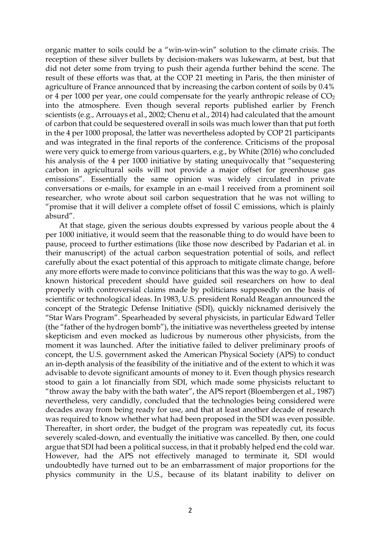organic matter to soils could be a "win-win-win" solution to the climate crisis. The reception of these silver bullets by decision-makers was lukewarm, at best, but that did not deter some from trying to push their agenda further behind the scene. The result of these efforts was that, at the COP 21 meeting in Paris, the then minister of agriculture of France announced that by increasing the carbon content of soils by 0.4% or 4 per 1000 per year, one could compensate for the yearly anthropic release of  $CO<sub>2</sub>$ into the atmosphere. Even though several reports published earlier by French scientists (e.g., Arrouays et al., 2002; Chenu et al., 2014) had calculated that the amount of carbon that could be sequestered overall in soils was much lower than that put forth in the 4 per 1000 proposal, the latter was nevertheless adopted by COP 21 participants and was integrated in the final reports of the conference. Criticisms of the proposal were very quick to emerge from various quarters, e.g., by White (2016) who concluded his analysis of the 4 per 1000 initiative by stating unequivocally that "sequestering carbon in agricultural soils will not provide a major offset for greenhouse gas emissions". Essentially the same opinion was widely circulated in private conversations or e-mails, for example in an e-mail I received from a prominent soil researcher, who wrote about soil carbon sequestration that he was not willing to "promise that it will deliver a complete offset of fossil C emissions, which is plainly absurd".

At that stage, given the serious doubts expressed by various people about the 4 per 1000 initiative, it would seem that the reasonable thing to do would have been to pause, proceed to further estimations (like those now described by Padarian et al. in their manuscript) of the actual carbon sequestration potential of soils, and reflect carefully about the exact potential of this approach to mitigate climate change, before any more efforts were made to convince politicians that this was the way to go. A wellknown historical precedent should have guided soil researchers on how to deal properly with controversial claims made by politicians supposedly on the basis of scientific or technological ideas. In 1983, U.S. president Ronald Reagan announced the concept of the Strategic Defense Initiative (SDI), quickly nicknamed derisively the "Star Wars Program". Spearheaded by several physicists, in particular Edward Teller (the "father of the hydrogen bomb"), the initiative was nevertheless greeted by intense skepticism and even mocked as ludicrous by numerous other physicists, from the moment it was launched. After the initiative failed to deliver preliminary proofs of concept, the U.S. government asked the American Physical Society (APS) to conduct an in-depth analysis of the feasibility of the initiative and of the extent to which it was advisable to devote significant amounts of money to it. Even though physics research stood to gain a lot financially from SDI, which made some physicists reluctant to "throw away the baby with the bath water", the APS report (Bloembergen et al., 1987) nevertheless, very candidly, concluded that the technologies being considered were decades away from being ready for use, and that at least another decade of research was required to know whether what had been proposed in the SDI was even possible. Thereafter, in short order, the budget of the program was repeatedly cut, its focus severely scaled-down, and eventually the initiative was cancelled. By then, one could argue that SDI had been a political success, in that it probably helped end the cold war. However, had the APS not effectively managed to terminate it, SDI would undoubtedly have turned out to be an embarrassment of major proportions for the physics community in the U.S., because of its blatant inability to deliver on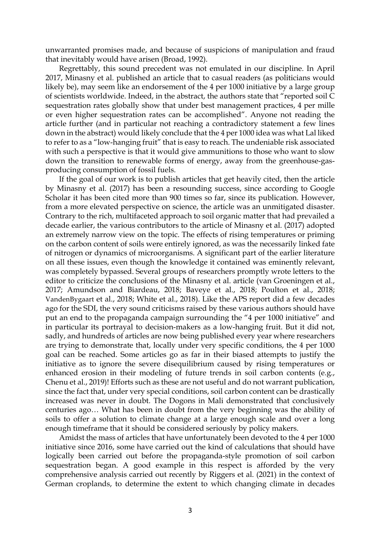unwarranted promises made, and because of suspicions of manipulation and fraud that inevitably would have arisen (Broad, 1992).

Regrettably, this sound precedent was not emulated in our discipline. In April 2017, Minasny et al. published an article that to casual readers (as politicians would likely be), may seem like an endorsement of the 4 per 1000 initiative by a large group of scientists worldwide. Indeed, in the abstract, the authors state that "reported soil C sequestration rates globally show that under best management practices, 4 per mille or even higher sequestration rates can be accomplished". Anyone not reading the article further (and in particular not reaching a contradictory statement a few lines down in the abstract) would likely conclude that the 4 per 1000 idea was what Lal liked to refer to as a "low-hanging fruit" that is easy to reach. The undeniable risk associated with such a perspective is that it would give ammunitions to those who want to slow down the transition to renewable forms of energy, away from the greenhouse-gasproducing consumption of fossil fuels.

If the goal of our work is to publish articles that get heavily cited, then the article by Minasny et al. (2017) has been a resounding success, since according to Google Scholar it has been cited more than 900 times so far, since its publication. However, from a more elevated perspective on science, the article was an unmitigated disaster. Contrary to the rich, multifaceted approach to soil organic matter that had prevailed a decade earlier, the various contributors to the article of Minasny et al. (2017) adopted an extremely narrow view on the topic. The effects of rising temperatures or priming on the carbon content of soils were entirely ignored, as was the necessarily linked fate of nitrogen or dynamics of microorganisms. A significant part of the earlier literature on all these issues, even though the knowledge it contained was eminently relevant, was completely bypassed. Several groups of researchers promptly wrote letters to the editor to criticize the conclusions of the Minasny et al. article (van Groeningen et al., 2017; Amundson and Biardeau, 2018; Baveye et al., 2018; Poulton et al., 2018; VandenBygaart et al., 2018; White et al., 2018). Like the APS report did a few decades ago for the SDI, the very sound criticisms raised by these various authors should have put an end to the propaganda campaign surrounding the "4 per 1000 initiative" and in particular its portrayal to decision-makers as a low-hanging fruit. But it did not, sadly, and hundreds of articles are now being published every year where researchers are trying to demonstrate that, locally under very specific conditions, the 4 per 1000 goal can be reached. Some articles go as far in their biased attempts to justify the initiative as to ignore the severe disequilibrium caused by rising temperatures or enhanced erosion in their modeling of future trends in soil carbon contents (e.g., Chenu et al., 2019)! Efforts such as these are not useful and do not warrant publication, since the fact that, under very special conditions, soil carbon content can be drastically increased was never in doubt. The Dogons in Mali demonstrated that conclusively centuries ago… What has been in doubt from the very beginning was the ability of soils to offer a solution to climate change at a large enough scale and over a long enough timeframe that it should be considered seriously by policy makers.

Amidst the mass of articles that have unfortunately been devoted to the 4 per 1000 initiative since 2016, some have carried out the kind of calculations that should have logically been carried out before the propaganda-style promotion of soil carbon sequestration began. A good example in this respect is afforded by the very comprehensive analysis carried out recently by Riggers et al. (2021) in the context of German croplands, to determine the extent to which changing climate in decades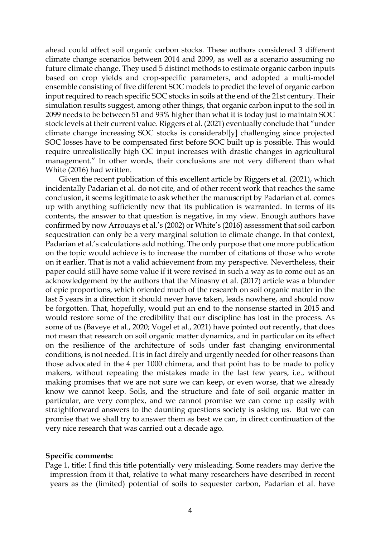ahead could affect soil organic carbon stocks. These authors considered 3 different climate change scenarios between 2014 and 2099, as well as a scenario assuming no future climate change. They used 5 distinct methods to estimate organic carbon inputs based on crop yields and crop-specific parameters, and adopted a multi-model ensemble consisting of five different SOC models to predict the level of organic carbon input required to reach specific SOC stocks in soils at the end of the 21st century. Their simulation results suggest, among other things, that organic carbon input to the soil in 2099 needs to be between 51 and 93% higher than what it is today just to maintain SOC stock levels at their current value. Riggers et al. (2021) eventually conclude that "under climate change increasing SOC stocks is considerabl[y] challenging since projected SOC losses have to be compensated first before SOC built up is possible. This would require unrealistically high OC input increases with drastic changes in agricultural management." In other words, their conclusions are not very different than what White (2016) had written.

Given the recent publication of this excellent article by Riggers et al. (2021), which incidentally Padarian et al. do not cite, and of other recent work that reaches the same conclusion, it seems legitimate to ask whether the manuscript by Padarian et al. comes up with anything sufficiently new that its publication is warranted. In terms of its contents, the answer to that question is negative, in my view. Enough authors have confirmed by now Arrouays et al.'s (2002) or White's (2016) assessment that soil carbon sequestration can only be a very marginal solution to climate change. In that context, Padarian et al.'s calculations add nothing. The only purpose that one more publication on the topic would achieve is to increase the number of citations of those who wrote on it earlier. That is not a valid achievement from my perspective. Nevertheless, their paper could still have some value if it were revised in such a way as to come out as an acknowledgement by the authors that the Minasny et al. (2017) article was a blunder of epic proportions, which oriented much of the research on soil organic matter in the last 5 years in a direction it should never have taken, leads nowhere, and should now be forgotten. That, hopefully, would put an end to the nonsense started in 2015 and would restore some of the credibility that our discipline has lost in the process. As some of us (Baveye et al., 2020; Vogel et al., 2021) have pointed out recently, that does not mean that research on soil organic matter dynamics, and in particular on its effect on the resilience of the architecture of soils under fast changing environmental conditions, is not needed. It is in fact direly and urgently needed for other reasons than those advocated in the 4 per 1000 chimera, and that point has to be made to policy makers, without repeating the mistakes made in the last few years, i.e., without making promises that we are not sure we can keep, or even worse, that we already know we cannot keep. Soils, and the structure and fate of soil organic matter in particular, are very complex, and we cannot promise we can come up easily with straightforward answers to the daunting questions society is asking us. But we can promise that we shall try to answer them as best we can, in direct continuation of the very nice research that was carried out a decade ago.

## **Specific comments:**

Page 1, title: I find this title potentially very misleading. Some readers may derive the impression from it that, relative to what many researchers have described in recent years as the (limited) potential of soils to sequester carbon, Padarian et al. have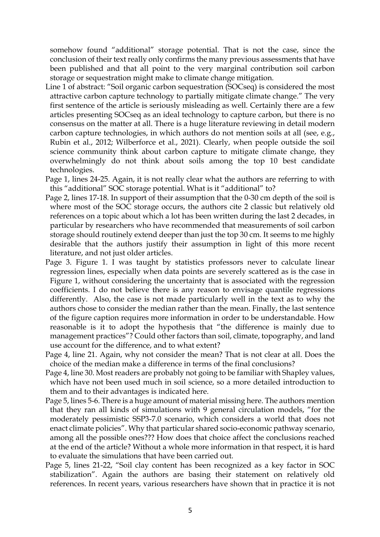somehow found "additional" storage potential. That is not the case, since the conclusion of their text really only confirms the many previous assessments that have been published and that all point to the very marginal contribution soil carbon storage or sequestration might make to climate change mitigation.

- Line 1 of abstract: "Soil organic carbon sequestration (SOCseq) is considered the most attractive carbon capture technology to partially mitigate climate change." The very first sentence of the article is seriously misleading as well. Certainly there are a few articles presenting SOCseq as an ideal technology to capture carbon, but there is no consensus on the matter at all. There is a huge literature reviewing in detail modern carbon capture technologies, in which authors do not mention soils at all (see, e.g., Rubin et al., 2012; Wilberforce et al., 2021). Clearly, when people outside the soil science community think about carbon capture to mitigate climate change, they overwhelmingly do not think about soils among the top 10 best candidate technologies.
- Page 1, lines 24-25. Again, it is not really clear what the authors are referring to with this "additional" SOC storage potential. What is it "additional" to?
- Page 2, lines 17-18. In support of their assumption that the 0-30 cm depth of the soil is where most of the SOC storage occurs, the authors cite 2 classic but relatively old references on a topic about which a lot has been written during the last 2 decades, in particular by researchers who have recommended that measurements of soil carbon storage should routinely extend deeper than just the top 30 cm. It seems to me highly desirable that the authors justify their assumption in light of this more recent literature, and not just older articles.
- Page 3. Figure 1. I was taught by statistics professors never to calculate linear regression lines, especially when data points are severely scattered as is the case in Figure 1, without considering the uncertainty that is associated with the regression coefficients. I do not believe there is any reason to envisage quantile regressions differently. Also, the case is not made particularly well in the text as to why the authors chose to consider the median rather than the mean. Finally, the last sentence of the figure caption requires more information in order to be understandable. How reasonable is it to adopt the hypothesis that "the difference is mainly due to management practices"? Could other factors than soil, climate, topography, and land use account for the difference, and to what extent?
- Page 4, line 21. Again, why not consider the mean? That is not clear at all. Does the choice of the median make a difference in terms of the final conclusions?
- Page 4, line 30. Most readers are probably not going to be familiar with Shapley values, which have not been used much in soil science, so a more detailed introduction to them and to their advantages is indicated here.
- Page 5, lines 5-6. There is a huge amount of material missing here. The authors mention that they ran all kinds of simulations with 9 general circulation models, "for the moderately pessimistic SSP3-7.0 scenario, which considers a world that does not enact climate policies". Why that particular shared socio-economic pathway scenario, among all the possible ones??? How does that choice affect the conclusions reached at the end of the article? Without a whole more information in that respect, it is hard to evaluate the simulations that have been carried out.
- Page 5, lines 21-22, "Soil clay content has been recognized as a key factor in SOC stabilization". Again the authors are basing their statement on relatively old references. In recent years, various researchers have shown that in practice it is not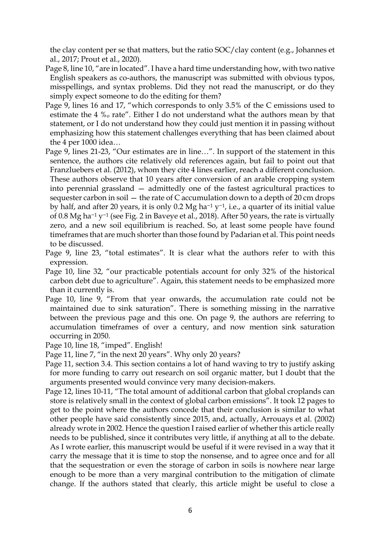the clay content per se that matters, but the ratio SOC/clay content (e.g., Johannes et al., 2017; Prout et al., 2020).

- Page 8, line 10, "are in located". I have a hard time understanding how, with two native English speakers as co-authors, the manuscript was submitted with obvious typos, misspellings, and syntax problems. Did they not read the manuscript, or do they simply expect someone to do the editing for them?
- Page 9, lines 16 and 17, "which corresponds to only 3.5% of the C emissions used to estimate the 4 %o rate". Either I do not understand what the authors mean by that statement, or I do not understand how they could just mention it in passing without emphasizing how this statement challenges everything that has been claimed about the 4 per 1000 idea…
- Page 9, lines 21-23, "Our estimates are in line…". In support of the statement in this sentence, the authors cite relatively old references again, but fail to point out that Franzluebers et al. (2012), whom they cite 4 lines earlier, reach a different conclusion. These authors observe that 10 years after conversion of an arable cropping system into perennial grassland — admittedly one of the fastest agricultural practices to sequester carbon in soil — the rate of C accumulation down to a depth of 20 cm drops by half, and after 20 years, it is only 0.2 Mg ha−<sup>1</sup> y−1, i.e., a quarter of its initial value of 0.8 Mg ha−<sup>1</sup> y−<sup>1</sup> (see Fig. 2 in Baveye et al., 2018). After 50 years, the rate is virtually zero, and a new soil equilibrium is reached. So, at least some people have found timeframes that are much shorter than those found by Padarian et al. This point needs to be discussed.
- Page 9, line 23, "total estimates". It is clear what the authors refer to with this expression.
- Page 10, line 32, "our practicable potentials account for only 32% of the historical carbon debt due to agriculture". Again, this statement needs to be emphasized more than it currently is.
- Page 10, line 9, "From that year onwards, the accumulation rate could not be maintained due to sink saturation". There is something missing in the narrative between the previous page and this one. On page 9, the authors are referring to accumulation timeframes of over a century, and now mention sink saturation occurring in 2050.
- Page 10, line 18, "imped". English!
- Page 11, line 7, "in the next 20 years". Why only 20 years?
- Page 11, section 3.4. This section contains a lot of hand waving to try to justify asking for more funding to carry out research on soil organic matter, but I doubt that the arguments presented would convince very many decision-makers.
- Page 12, lines 10-11, "The total amount of additional carbon that global croplands can store is relatively small in the context of global carbon emissions". It took 12 pages to get to the point where the authors concede that their conclusion is similar to what other people have said consistently since 2015, and, actually, Arrouays et al. (2002) already wrote in 2002. Hence the question I raised earlier of whether this article really needs to be published, since it contributes very little, if anything at all to the debate. As I wrote earlier, this manuscript would be useful if it were revised in a way that it carry the message that it is time to stop the nonsense, and to agree once and for all that the sequestration or even the storage of carbon in soils is nowhere near large enough to be more than a very marginal contribution to the mitigation of climate change. If the authors stated that clearly, this article might be useful to close a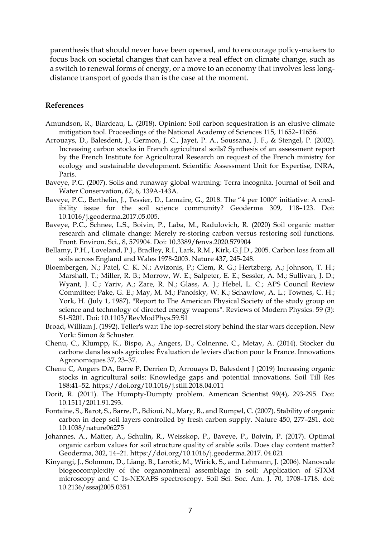parenthesis that should never have been opened, and to encourage policy-makers to focus back on societal changes that can have a real effect on climate change, such as a switch to renewal forms of energy, or a move to an economy that involves less longdistance transport of goods than is the case at the moment.

## **References**

- Amundson, R., Biardeau, L. (2018). Opinion: Soil carbon sequestration is an elusive climate mitigation tool. Proceedings of the National Academy of Sciences 115, 11652–11656.
- Arrouays, D., Balesdent, J., Germon, J. C., Jayet, P. A., Soussana, J. F., & Stengel, P. (2002). Increasing carbon stocks in French agricultural soils? Synthesis of an assessment report by the French Institute for Agricultural Research on request of the French ministry for ecology and sustainable development. Scientific Assessment Unit for Expertise, INRA, Paris.
- Baveye, P.C. (2007). Soils and runaway global warming: Terra incognita. Journal of Soil and Water Conservation, 62, 6, 139A-143A.
- Baveye, P.C., Berthelin, J., Tessier, D., Lemaire, G., 2018. The "4 per 1000" initiative: A credibility issue for the soil science community? Geoderma 309, 118–123. Doi: 10.1016/j.geoderma.2017.05.005.
- Baveye, P.C., Schnee, L.S., Boivin, P., Laba, M., Radulovich, R. (2020) Soil organic matter research and climate change: Merely re-storing carbon versus restoring soil functions. Front. Environ. Sci., 8, 579904. Doi: 10.3389/fenvs.2020.579904
- Bellamy, P.H., Loveland, P.J., Bradley, R.I., Lark, R.M., Kirk, G.J.D., 2005. Carbon loss from all soils across England and Wales 1978-2003. Nature 437, 245-248.
- Bloembergen, N.; Patel, C. K. N.; Avizonis, P.; Clem, R. G.; Hertzberg, A.; Johnson, T. H.; Marshall, T.; Miller, R. B.; Morrow, W. E.; Salpeter, E. E.; Sessler, A. M.; Sullivan, J. D.; Wyant, J. C.; Yariv, A.; Zare, R. N.; Glass, A. J.; Hebel, L. C.; APS Council Review Committee; Pake, G. E.; May, M. M.; Panofsky, W. K.; Schawlow, A. L.; Townes, C. H.; York, H. (July 1, 1987). "Report to The American Physical Society of the study group on science and technology of directed energy weapons". Reviews of Modern Physics. 59 (3): S1-S201. Doi: 10.1103/RevModPhys.59.S1
- Broad, William J. (1992). Teller's war: The top-secret story behind the star wars deception. New York: Simon & Schuster.
- Chenu, C., Klumpp, K., Bispo, A., Angers, D., Colnenne, C., Metay, A. (2014). Stocker du carbone dans les sols agricoles: Évaluation de leviers d'action pour la France. Innovations Agronomiques 37, 23–37.
- Chenu C, Angers DA, Barre P, Derrien D, Arrouays D, Balesdent J (2019) Increasing organic stocks in agricultural soils: Knowledge gaps and potential innovations. Soil Till Res 188:41–52. https://doi.org/10.1016/j.still.2018.04.011
- Dorit, R. (2011). The Humpty-Dumpty problem. American Scientist 99(4), 293-295. Doi: 10.1511/2011.91.293.
- Fontaine, S., Barot, S., Barre, P., Bdioui, N., Mary, B., and Rumpel, C. (2007). Stability of organic carbon in deep soil layers controlled by fresh carbon supply. Nature 450, 277–281. doi: 10.1038/nature06275
- Johannes, A., Matter, A., Schulin, R., Weisskop, P., Baveye, P., Boivin, P. (2017). Optimal organic carbon values for soil structure quality of arable soils. Does clay content matter? Geoderma, 302, 14–21. https://doi.org/10.1016/j.geoderma.2017. 04.021
- Kinyangi, J., Solomon, D., Liang, B., Lerotic, M., Wirick, S., and Lehmann, J. (2006). Nanoscale biogeocomplexity of the organomineral assemblage in soil: Application of STXM microscopy and C 1s-NEXAFS spectroscopy. Soil Sci. Soc. Am. J. 70, 1708–1718. doi: 10.2136/sssaj2005.0351